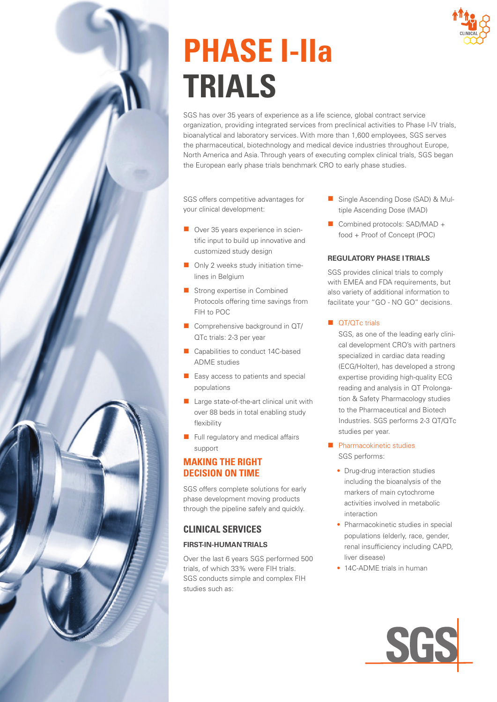# **PHASE I-IIa TRIALS**

SGS has over 35 years of experience as a life science, global contract service organization, providing integrated services from preclinical activities to Phase I-IV trials, bioanalytical and laboratory services. With more than 1,600 employees, SGS serves the pharmaceutical, biotechnology and medical device industries throughout Europe, North America and Asia. Through years of executing complex clinical trials, SGS began the European early phase trials benchmark CRO to early phase studies.

SGS offers competitive advantages for your clinical development:

- Over 35 years experience in scientific input to build up innovative and customized study design
- Only 2 weeks study initiation timelines in Belgium
- Strong expertise in Combined Protocols offering time savings from FIH to POC
- Comprehensive background in QT/ QTc trials: 2-3 per year
- Capabilities to conduct 14C-based ADME studies
- Easy access to patients and special populations
- Large state-of-the-art clinical unit with over 88 beds in total enabling study flexibility
- Full regulatory and medical affairs support

# **MAKING THE RIGHT DECISION ON TIME**

SGS offers complete solutions for early phase development moving products through the pipeline safely and quickly.

# **CLINICAL SERVICES**

# **FIRST-IN-HUMAN TRIALS**

Over the last 6 years SGS performed 500 trials, of which 33% were FIH trials. SGS conducts simple and complex FIH studies such as:

- Single Ascending Dose (SAD) & Multiple Ascending Dose (MAD)
- Combined protocols: SAD/MAD + food + Proof of Concept (POC)

# **REGULATORY PHASE I TRIALS**

SGS provides clinical trials to comply with EMEA and FDA requirements, but also variety of additional information to facilitate your "GO - NO GO" decisions.

#### ■ QT/QTc trials

SGS, as one of the leading early clinical development CRO's with partners specialized in cardiac data reading (ECG/Holter), has developed a strong expertise providing high-quality ECG reading and analysis in QT Prolongation & Safety Pharmacology studies to the Pharmaceutical and Biotech Industries. SGS performs 2-3 QT/QTc studies per year.

#### ■ Pharmacokinetic studies SGS performs:

- Drug-drug interaction studies including the bioanalysis of the markers of main cytochrome activities involved in metabolic interaction
- Pharmacokinetic studies in special populations (elderly, race, gender, renal insufficiency including CAPD, liver disease)
- 14C-ADME trials in human